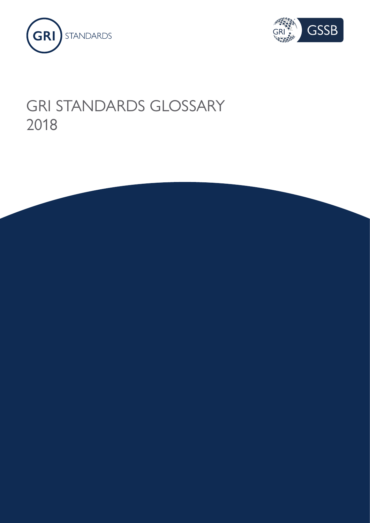



## GRI STANDARDS GLOSSARY 2018

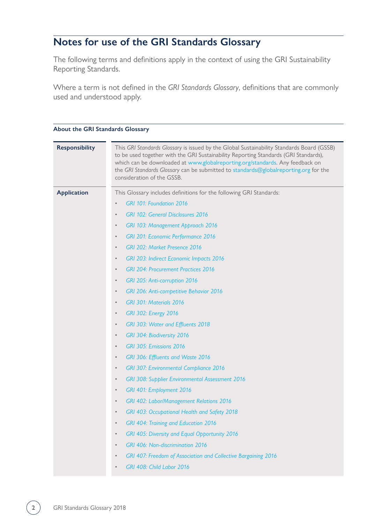### **Notes for use of the GRI Standards Glossary**

The following terms and definitions apply in the context of using the GRI Sustainability Reporting Standards.

Where a term is not defined in the *GRI Standards Glossary*, definitions that are commonly used and understood apply.

| <b>Responsibility</b> | This GRI Standards Glossary is issued by the Global Sustainability Standards Board (GSSB)<br>to be used together with the GRI Sustainability Reporting Standards (GRI Standards),<br>which can be downloaded at www.globalreporting.org/standards. Any feedback on<br>the GRI Standards Glossary can be submitted to standards@globalreporting.org for the<br>consideration of the GSSB. |
|-----------------------|------------------------------------------------------------------------------------------------------------------------------------------------------------------------------------------------------------------------------------------------------------------------------------------------------------------------------------------------------------------------------------------|
| <b>Application</b>    | This Glossary includes definitions for the following GRI Standards:                                                                                                                                                                                                                                                                                                                      |
|                       | GRI 101: Foundation 2016<br>$\bullet$                                                                                                                                                                                                                                                                                                                                                    |
|                       | <b>GRI 102: General Disclosures 2016</b><br>$\bullet$                                                                                                                                                                                                                                                                                                                                    |
|                       | GRI 103: Management Approach 2016<br>$\bullet$                                                                                                                                                                                                                                                                                                                                           |
|                       | <b>GRI 201: Economic Performance 2016</b><br>$\bullet$                                                                                                                                                                                                                                                                                                                                   |
|                       | GRI 202: Market Presence 2016<br>$\bullet$                                                                                                                                                                                                                                                                                                                                               |
|                       | GRI 203: Indirect Economic Impacts 2016<br>$\bullet$                                                                                                                                                                                                                                                                                                                                     |
|                       | <b>GRI 204: Procurement Practices 2016</b><br>$\bullet$                                                                                                                                                                                                                                                                                                                                  |
|                       | GRI 205: Anti-corruption 2016<br>$\bullet$                                                                                                                                                                                                                                                                                                                                               |
|                       | GRI 206: Anti-competitive Behavior 2016<br>$\bullet$                                                                                                                                                                                                                                                                                                                                     |
|                       | GRI 301: Materials 2016<br>$\bullet$                                                                                                                                                                                                                                                                                                                                                     |
|                       | <b>GRI 302: Energy 2016</b><br>$\bullet$                                                                                                                                                                                                                                                                                                                                                 |
|                       | GRI 303: Water and Effluents 2018<br>$\bullet$                                                                                                                                                                                                                                                                                                                                           |
|                       | GRI 304: Biodiversity 2016<br>$\bullet$                                                                                                                                                                                                                                                                                                                                                  |
|                       | GRI 305: Emissions 2016<br>$\bullet$                                                                                                                                                                                                                                                                                                                                                     |
|                       | GRI 306: Effluents and Waste 2016<br>$\bullet$                                                                                                                                                                                                                                                                                                                                           |
|                       | <b>GRI 307: Environmental Compliance 2016</b><br>$\bullet$                                                                                                                                                                                                                                                                                                                               |
|                       | <b>GRI 308: Supplier Environmental Assessment 2016</b><br>$\bullet$                                                                                                                                                                                                                                                                                                                      |
|                       | GRI 401: Employment 2016<br>$\bullet$                                                                                                                                                                                                                                                                                                                                                    |
|                       | GRI 402: Labor/Management Relations 2016<br>$\bullet$                                                                                                                                                                                                                                                                                                                                    |
|                       | GRI 403: Occupational Health and Safety 2018<br>$\bullet$                                                                                                                                                                                                                                                                                                                                |
|                       | GRI 404: Training and Education 2016<br>$\bullet$                                                                                                                                                                                                                                                                                                                                        |
|                       | GRI 405: Diversity and Equal Opportunity 2016<br>$\bullet$                                                                                                                                                                                                                                                                                                                               |
|                       | <b>GRI 406: Non-discrimination 2016</b><br>$\bullet$                                                                                                                                                                                                                                                                                                                                     |
|                       | GRI 407: Freedom of Association and Collective Bargaining 2016<br>$\bullet$                                                                                                                                                                                                                                                                                                              |
|                       | GRI 408: Child Labor 2016<br>$\bullet$                                                                                                                                                                                                                                                                                                                                                   |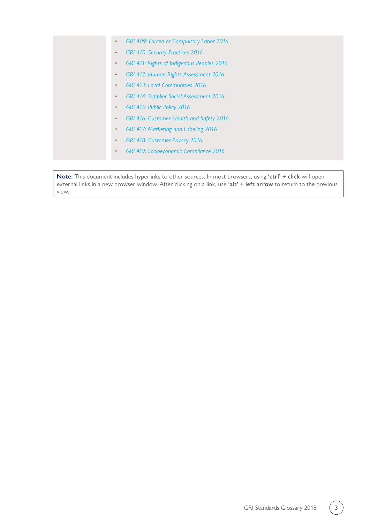- *[GRI 409: Forced or Compulsory Labor 2016](https://www.globalreporting.org/standards/media/1024/gri-409-forced-or-compulsory-labor-2016.pdf)*
- *[GRI 410: Security Practices 2016](https://www.globalreporting.org/standards/media/1025/gri-410-security-practices-2016.pdf)*
- *[GRI 411: Rights of Indigenous Peoples 2016](https://www.globalreporting.org/standards/media/1026/gri-411-rights-of-indigenous-peoples-2016.pdf)*
- *[GRI 412: Human Rights Assessment 2016](https://www.globalreporting.org/standards/media/1027/gri-412-human-rights-assessment-2016.pdf)*
- *[GRI 413: Local Communities 2016](https://www.globalreporting.org/standards/media/1028/gri-413-local-communities-2016.pdf)*
- *[GRI 414: Supplier Social Assessment 2016](https://www.globalreporting.org/standards/media/1029/gri-414-supplier-social-assessment-2016.pdf)*
- *[GRI 415: Public Policy 2016](https://www.globalreporting.org/standards/media/1030/gri-415-public-policy-2016.pdf)*
- *[GRI 416: Customer Health and Safety 2016](https://www.globalreporting.org/standards/media/1031/gri-416-customer-health-and-safety-2016.pdf)*
- *[GRI 417: Marketing and Labeling 2016](https://www.globalreporting.org/standards/media/1032/gri-417-marketing-and-labeling-2016.pdf)*
- *[GRI 418: Customer Privacy 2016](https://www.globalreporting.org/standards/media/1033/gri-418-customer-privacy-2016.pdf)*
- *[GRI 419: Socioeconomic Compliance 2016](https://www.globalreporting.org/standards/media/1034/gri-419-socioeconomic-compliance-2016.pdf)*

**Note:** This document includes hyperlinks to other sources. In most browsers, using **'ctrl' + click** will open external links in a new browser window. After clicking on a link, use **'alt' + left arrow** to return to the previous view.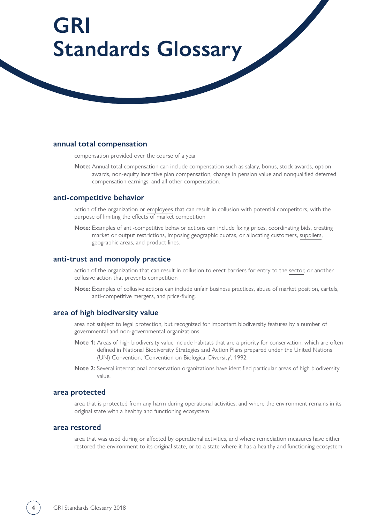# **GRI Standards Glossary**

#### **annual total compensation**

compensation provided over the course of a year

**Note:** Annual total compensation can include compensation such as salary, bonus, stock awards, option awards, non-equity incentive plan compensation, change in pension value and nonqualified deferred compensation earnings, and all other compensation.

#### **anti-competitive behavior**

action of the organization or [employees](#page-7-0) that can result in collusion with potential competitors, with the purpose of limiting the effects of market competition

**Note:** Examples of anti-competitive behavior actions can include fixing prices, coordinating bids, creating market or output restrictions, imposing geographic quotas, or allocating customers, [suppliers,](#page-18-0) geographic areas, and product lines.

#### **anti-trust and monopoly practice**

action of the organization that can result in collusion to erect barriers for entry to the [sector,](#page-16-0) or another collusive action that prevents competition

**Note:** Examples of collusive actions can include unfair business practices, abuse of market position, cartels, anti-competitive mergers, and price-fixing.

#### **area of high biodiversity value**

area not subject to legal protection, but recognized for important biodiversity features by a number of governmental and non-governmental organizations

- **Note 1:** Areas of high biodiversity value include habitats that are a priority for conservation, which are often defined in National Biodiversity Strategies and Action Plans prepared under the United Nations (UN) Convention, 'Convention on Biological Diversity', 1992.
- **Note 2:** Several international conservation organizations have identified particular areas of high biodiversity value.

#### **area protected**

area that is protected from any harm during operational activities, and where the environment remains in its original state with a healthy and functioning ecosystem

#### **area restored**

area that was used during or affected by operational activities, and where remediation measures have either restored the environment to its original state, or to a state where it has a healthy and functioning ecosystem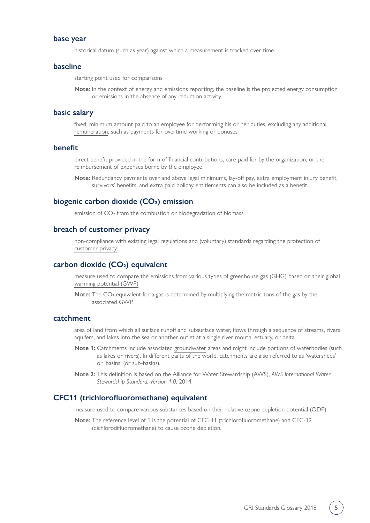#### **base year**

historical datum (such as year) against which a measurement is tracked over time

#### <span id="page-4-1"></span>**baseline**

starting point used for comparisons

**Note:** In the context of energy and emissions reporting, the baseline is the projected energy consumption or emissions in the absence of any reduction activity.

#### <span id="page-4-2"></span>**basic salary**

fixed, minimum amount paid to an [employee](#page-7-0) for performing his or her duties, excluding any additional [remuneration,](#page-15-0) such as payments for overtime working or bonuses

#### <span id="page-4-3"></span>**benefit**

direct benefit provided in the form of financial contributions, care paid for by the organization, or the reimbursement of expenses borne by the [employee](#page-7-0)

**Note:** Redundancy payments over and above legal minimums, lay-off pay, extra employment injury benefit, survivors' benefits, and extra paid holiday entitlements can also be included as a benefit.

#### biogenic carbon dioxide (CO<sub>2</sub>) emission

emission of CO<sub>2</sub> from the combustion or biodegradation of biomass

#### <span id="page-4-4"></span>**breach of customer privacy**

non-compliance with existing legal regulations and (voluntary) standards regarding the protection of [customer privacy](#page-6-0)

#### <span id="page-4-0"></span>carbon dioxide (CO<sub>2</sub>) equivalent

measure used to compare the emissions from various types of [greenhouse gas \(GHG\)](#page-9-0) based on their [global](#page-9-1)  [warming potential \(GWP\)](#page-9-1)

**Note:** The CO<sub>2</sub> equivalent for a gas is determined by multiplying the metric tons of the gas by the associated GWP.

#### <span id="page-4-5"></span>**catchment**

area of land from which all surface runoff and subsurface water, flows through a sequence of streams, rivers, aquifers, and lakes into the sea or another outlet at a single river mouth, estuary, or delta

- **Note 1:** Catchments include associated [groundwater](#page-10-0) areas and might include portions of waterbodies (such as lakes or rivers). In different parts of the world, catchments are also referred to as 'watersheds' or 'basins' (or sub-basins).
- **Note 2:** This definition is based on the Alliance for Water Stewardship (AWS), *AWS International Water Stewardship Standard, Version 1.0*, 2014.

#### **CFC11 (trichlorofluoromethane) equivalent**

measure used to compare various substances based on their relative ozone depletion potential (ODP)

**Note:** The reference level of 1 is the potential of CFC-11 (trichlorofluoromethane) and CFC-12 (dichlorodifluoromethane) to cause ozone depletion.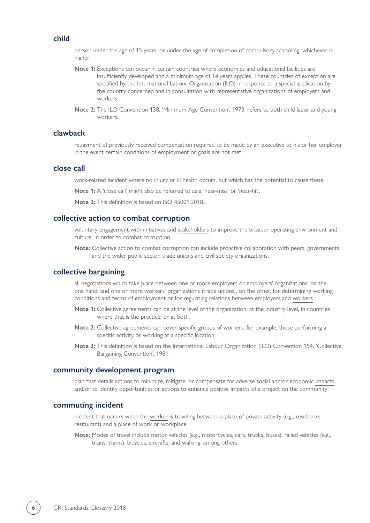#### **child**

person under the age of 15 years, or under the age of completion of compulsory schooling, whichever is higher

- **Note 1:** Exceptions can occur in certain countries where economies and educational facilities are insufficiently developed and a minimum age of 14 years applies. These countries of exception are specified by the International Labour Organization (ILO) in response to a special application by the country concerned and in consultation with representative organizations of employers and workers.
- **Note 2:** The ILO Convention 138, 'Minimum Age Convention', 1973, refers to both child labor and young workers.

#### **clawback**

repayment of previously received compensation required to be made by an executive to his or her employer in the event certain conditions of employment or goals are not met

#### <span id="page-5-1"></span>**close call**

[work-related incident](#page-23-0) where no [injury or ill health](#page-23-1) occurs, but which has the potential to cause these

**Note 1:** A 'close call' might also be referred to as a 'near-miss' or 'near-hit'.

**Note 2:** This definition is based on ISO 45001:2018.

#### **collective action to combat corruption**

voluntary engagement with initiatives and [stakeholders](#page-18-1) to improve the broader operating environment and culture, in order to combat [corruption](#page-6-1)

**Note:** Collective action to combat corruption can include proactive collaboration with peers, governments and the wider public sector, trade unions and civil society organizations.

#### <span id="page-5-0"></span>**collective bargaining**

all negotiations which take place between one or more employers or employers' organizations, on the one hand, and one or more workers' organizations (trade unions), on the other, for determining working conditions and terms of employment or for regulating relations between employers and [workers](#page-21-0)

- **Note 1:** Collective agreements can be at the level of the organization; at the industry level, in countries where that is the practice; or at both.
- **Note 2:** Collective agreements can cover specific groups of workers; for example, those performing a specific activity or working at a specific location.
- **Note 3:** This definition is based on the International Labour Organization (ILO) Convention 154, 'Collective Bargaining Convention', 1981.

#### **community development program**

plan that details actions to minimize, mitigate, or compensate for adverse social and/or economic [impacts](#page-11-0), and/or to identify opportunities or actions to enhance positive impacts of a project on the community

#### **commuting incident**

incident that occurs when the [worker](#page-21-0) is traveling between a place of private activity (e.g., residence, restaurant) and a place of work or workplace

**Note:** Modes of travel include motor vehicles (e.g., motorcycles, cars, trucks, buses), railed vehicles (e.g., trains, trams), bicycles, aircrafts, and walking, among others.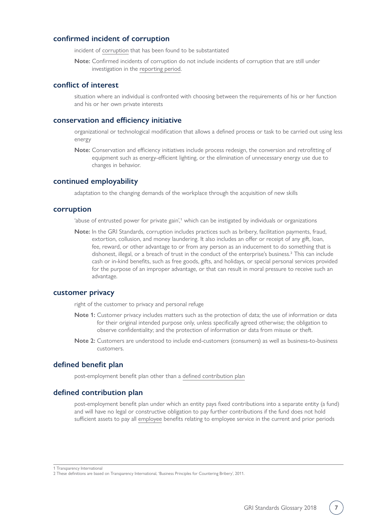#### **confirmed incident of corruption**

incident of [corruption](#page-6-1) that has been found to be substantiated

**Note:** Confirmed incidents of corruption do not include incidents of corruption that are still under investigation in the [reporting period.](#page-16-1)

#### **conflict of interest**

situation where an individual is confronted with choosing between the requirements of his or her function and his or her own private interests

#### **conservation and efficiency initiative**

organizational or technological modification that allows a defined process or task to be carried out using less energy

**Note:** Conservation and efficiency initiatives include process redesign, the conversion and retrofitting of equipment such as energy-efficient lighting, or the elimination of unnecessary energy use due to changes in behavior.

#### **continued employability**

adaptation to the changing demands of the workplace through the acquisition of new skills

#### <span id="page-6-1"></span>**corruption**

'abuse of entrusted power for private gain',<sup>1</sup> which can be instigated by individuals or organizations

**Note:** In the GRI Standards, corruption includes practices such as bribery, facilitation payments, fraud, extortion, collusion, and money laundering. It also includes an offer or receipt of any gift, loan, fee, reward, or other advantage to or from any person as an inducement to do something that is dishonest, illegal, or a breach of trust in the conduct of the enterprise's business.2 This can include cash or in-kind benefits, such as free goods, gifts, and holidays, or special personal services provided for the purpose of an improper advantage, or that can result in moral pressure to receive such an advantage.

#### <span id="page-6-0"></span>**customer privacy**

right of the customer to privacy and personal refuge

- **Note 1:** Customer privacy includes matters such as the protection of data; the use of information or data for their original intended purpose only, unless specifically agreed otherwise; the obligation to observe confidentiality; and the protection of information or data from misuse or theft.
- **Note 2:** Customers are understood to include end-customers (consumers) as well as business-to-business customers.

#### **defined benefit plan**

post-employment benefit plan other than a [defined contribution plan](#page-6-2)

#### <span id="page-6-2"></span>**defined contribution plan**

post-employment benefit plan under which an entity pays fixed contributions into a separate entity (a fund) and will have no legal or constructive obligation to pay further contributions if the fund does not hold sufficient assets to pay all [employee](#page-7-0) benefits relating to employee service in the current and prior periods

1 Transparency International

<sup>2</sup> These definitions are based on Transparency International, 'Business Principles for Countering Bribery', 2011.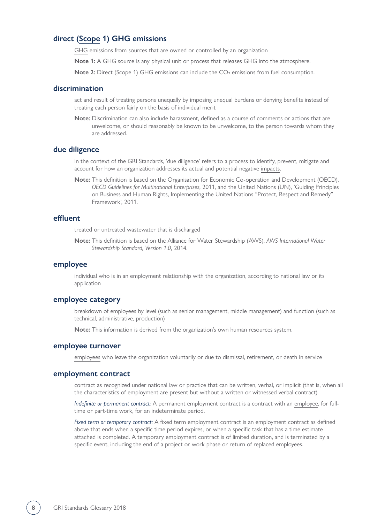#### <span id="page-7-1"></span>**direct [\(Scope](#page-16-2) 1) GHG emissions**

[GHG](#page-9-0) emissions from sources that are owned or controlled by an organization

**Note 1:** A GHG source is any physical unit or process that releases GHG into the atmosphere.

**Note 2:** Direct (Scope 1) GHG emissions can include the CO<sub>2</sub> emissions from fuel consumption.

#### **discrimination**

act and result of treating persons unequally by imposing unequal burdens or denying benefits instead of treating each person fairly on the basis of individual merit

**Note:** Discrimination can also include harassment, defined as a course of comments or actions that are unwelcome, or should reasonably be known to be unwelcome, to the person towards whom they are addressed.

#### **due diligence**

In the context of the GRI Standards, 'due diligence' refers to a process to identify, prevent, mitigate and account for how an organization addresses its actual and potential negative [impacts.](#page-11-0)

**Note:** This definition is based on the Organisation for Economic Co-operation and Development (OECD), *OECD Guidelines for Multinational Enterprises*, 2011, and the United Nations (UN), 'Guiding Principles on Business and Human Rights, Implementing the United Nations "Protect, Respect and Remedy" Framework', 2011.

#### <span id="page-7-2"></span>**effluent**

treated or untreated wastewater that is discharged

**Note:** This definition is based on the Alliance for Water Stewardship (AWS), *AWS International Water Stewardship Standard, Version 1.0*, 2014.

#### <span id="page-7-0"></span>**employee**

individual who is in an employment relationship with the organization, according to national law or its application

#### **employee category**

breakdown of [employees](#page-7-0) by level (such as senior management, middle management) and function (such as technical, administrative, production)

**Note:** This information is derived from the organization's own human resources system.

#### **employee turnover**

[employees](#page-7-0) who leave the organization voluntarily or due to dismissal, retirement, or death in service

#### **employment contract**

contract as recognized under national law or practice that can be written, verbal, or implicit (that is, when all the characteristics of employment are present but without a written or witnessed verbal contract)

*Indefinite or permanent contract:* A permanent employment contract is a contract with an [employee,](#page-7-0) for fulltime or part-time work, for an indeterminate period.

*Fixed term or temporary contract:* A fixed term employment contract is an employment contract as defined above that ends when a specific time period expires, or when a specific task that has a time estimate attached is completed. A temporary employment contract is of limited duration, and is terminated by a specific event, including the end of a project or work phase or return of replaced employees.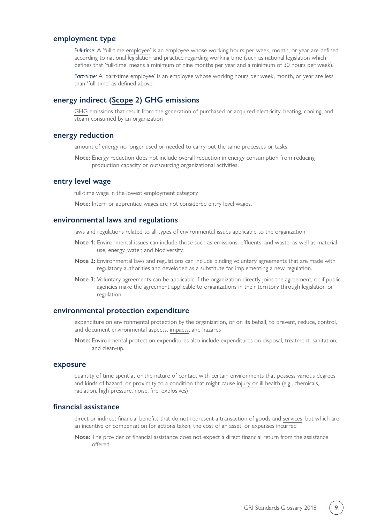#### <span id="page-8-2"></span>**employment type**

*Full-time:* A 'full-time [employee'](#page-7-0) is an employee whose working hours per week, month, or year are defined according to national legislation and practice regarding working time (such as national legislation which defines that 'full-time' means a minimum of nine months per year and a minimum of 30 hours per week).

*Part-time:* A 'part-time employee' is an employee whose working hours per week, month, or year are less than 'full-time' as defined above.

#### <span id="page-8-1"></span>**energy indirect ([Scope](#page-16-2) 2) GHG emissions**

[GHG](#page-9-0) emissions that result from the generation of purchased or acquired electricity, heating, cooling, and steam consumed by an organization

#### **energy reduction**

amount of energy no longer used or needed to carry out the same processes or tasks

**Note:** Energy reduction does not include overall reduction in energy consumption from reducing production capacity or outsourcing organizational activities.

#### **entry level wage**

full-time wage in the lowest employment category

**Note:** Intern or apprentice wages are not considered entry level wages.

#### **environmental laws and regulations**

laws and regulations related to all types of environmental issues applicable to the organization

- **Note 1:** Environmental issues can include those such as emissions, effluents, and waste, as well as material use, energy, water, and biodiversity.
- **Note 2:** Environmental laws and regulations can include binding voluntary agreements that are made with regulatory authorities and developed as a substitute for implementing a new regulation.
- **Note 3:** Voluntary agreements can be applicable if the organization directly joins the agreement, or if public agencies make the agreement applicable to organizations in their territory through legislation or regulation.

#### **environmental protection expenditure**

expenditure on environmental protection by the organization, or on its behalf, to prevent, reduce, control, and document environmental aspects, [impacts,](#page-11-0) and hazards

**Note:** Environmental protection expenditures also include expenditures on disposal, treatment, sanitation, and clean-up.

#### <span id="page-8-0"></span>**exposure**

quantity of time spent at or the nature of contact with certain environments that possess various degrees and kinds of [hazard](#page-22-0), or proximity to a condition that might cause [injury or ill health](#page-23-1) (e.g., chemicals, radiation, high pressure, noise, fire, explosives)

#### **financial assistance**

direct or indirect financial benefits that do not represent a transaction of goods and [services,](#page-17-0) but which are an incentive or compensation for actions taken, the cost of an asset, or expenses incurred

**Note:** The provider of financial assistance does not expect a direct financial return from the assistance offered.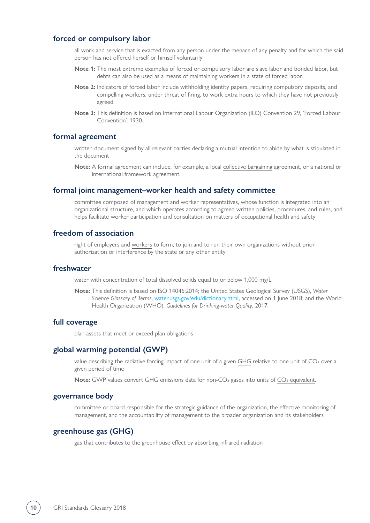#### **forced or compulsory labor**

all work and service that is exacted from any person under the menace of any penalty and for which the said person has not offered herself or himself voluntarily

- **Note 1:** The most extreme examples of forced or compulsory labor are slave labor and bonded labor, but debts can also be used as a means of maintaining [workers](#page-21-0) in a state of forced labor.
- **Note 2:** Indicators of forced labor include withholding identity papers, requiring compulsory deposits, and compelling workers, under threat of firing, to work extra hours to which they have not previously agreed.
- **Note 3:** This definition is based on International Labour Organization (ILO) Convention 29, 'Forced Labour Convention', 1930.

#### **formal agreement**

written document signed by all relevant parties declaring a mutual intention to abide by what is stipulated in the document

**Note:** A formal agreement can include, for example, a local [collective bargaining](#page-5-0) agreement, or a national or international framework agreement.

#### **formal joint management–worker health and safety committee**

committee composed of management and [worker representatives,](#page-22-1) whose function is integrated into an organizational structure, and which operates according to agreed written policies, procedures, and rules, and helps facilitate worker [participation](#page-22-2) and [consultation](#page-22-3) on matters of occupational health and safety

#### **freedom of association**

right of employers and [workers](#page-21-0) to form, to join and to run their own organizations without prior authorization or interference by the state or any other entity

#### **freshwater**

water with concentration of total dissolved solids equal to or below 1,000 mg/L

**Note:** This definition is based on ISO 14046:2014; the United States Geological Survey (USGS), *Water Science Glossary of Terms*, [water.usgs.gov/edu/dictionary.html](https://water.usgs.gov/edu/dictionary.html), accessed on 1 June 2018; and the World Health Organization (WHO), *Guidelines for Drinking-water Quality*, 2017.

#### **full coverage**

plan assets that meet or exceed plan obligations

#### <span id="page-9-1"></span>**global warming potential (GWP)**

value describing the radiative forcing impact of one unit of a given [GHG](#page-9-0) relative to one unit of CO<sub>2</sub> over a given period of time

**Note:** GWP values convert GHG emissions data for non-CO<sub>2</sub> gases into units of CO<sub>2</sub> equivalent.

#### **governance body**

committee or board responsible for the strategic guidance of the organization, the effective monitoring of management, and the accountability of management to the broader organization and its [stakeholders](#page-18-1)

#### <span id="page-9-0"></span>**greenhouse gas (GHG)**

gas that contributes to the greenhouse effect by absorbing infrared radiation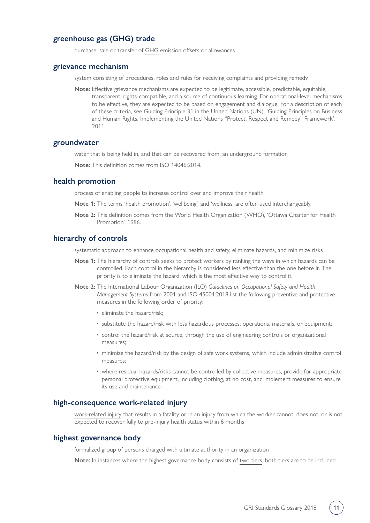#### **greenhouse gas (GHG) trade**

purchase, sale or transfer of [GHG](#page-9-0) emission offsets or allowances

#### **grievance mechanism**

system consisting of procedures, roles and rules for receiving complaints and providing remedy

**Note:** Effective grievance mechanisms are expected to be legitimate, accessible, predictable, equitable, transparent, rights-compatible, and a source of continuous learning. For operational-level mechanisms to be effective, they are expected to be based on engagement and dialogue. For a description of each of these criteria, see Guiding Principle 31 in the United Nations (UN), 'Guiding Principles on Business and Human Rights, Implementing the United Nations "Protect, Respect and Remedy" Framework', 2011.

#### <span id="page-10-0"></span>**groundwater**

water that is being held in, and that can be recovered from, an underground formation

**Note:** This definition comes from ISO 14046:2014.

#### **health promotion**

process of enabling people to increase control over and improve their health

- **Note 1:** The terms 'health promotion', 'wellbeing', and 'wellness' are often used interchangeably.
- **Note 2:** This definition comes from the World Health Organization (WHO), 'Ottawa Charter for Health Promotion', 1986.

#### **hierarchy of controls**

systematic approach to enhance occupational health and safety, eliminate [hazards](#page-22-0), and minimize [risks](#page-13-0)

- **Note 1:** The hierarchy of controls seeks to protect workers by ranking the ways in which hazards can be controlled. Each control in the hierarchy is considered less effective than the one before it. The priority is to eliminate the hazard, which is the most effective way to control it.
- **Note 2:** The International Labour Organization (ILO) *Guidelines on Occupational Safety and Health Management Systems* from 2001 and ISO 45001:2018 list the following preventive and protective measures in the following order of priority:
	- eliminate the hazard/risk;
	- substitute the hazard/risk with less hazardous processes, operations, materials, or equipment;
	- control the hazard/risk at source, through the use of engineering controls or organizational measures;
	- minimize the hazard/risk by the design of safe work systems, which include administrative control measures;
	- where residual hazards/risks cannot be controlled by collective measures, provide for appropriate personal protective equipment, including clothing, at no cost, and implement measures to ensure its use and maintenance.

#### <span id="page-10-1"></span>**high-consequence work-related injury**

[work-related injury](#page-23-1) that results in a fatality or in an injury from which the worker cannot, does not, or is not expected to recover fully to pre-injury health status within 6 months

#### <span id="page-10-2"></span>**highest governance body**

formalized group of persons charged with ultimate authority in an organization

**Note:** In instances where the highest governance body consists of [two tiers,](#page-20-0) both tiers are to be included.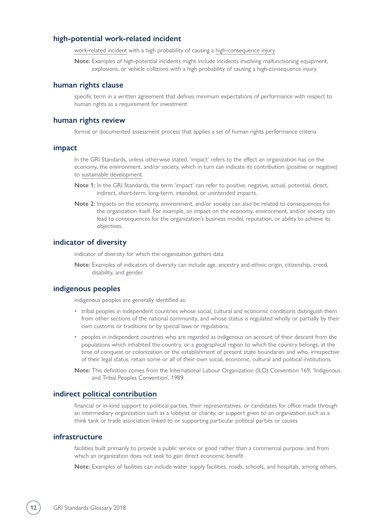#### **high-potential work-related incident**

[work-related incident](#page-23-0) with a high probability of causing a [high-consequence injury](#page-10-1)

**Note:** Examples of high-potential incidents might include incidents involving malfunctioning equipment, explosions, or vehicle collisions with a high probability of causing a high-consequence injury.

#### **human rights clause**

specific term in a written agreement that defines minimum expectations of performance with respect to human rights as a requirement for investment

#### **human rights review**

formal or documented assessment process that applies a set of human rights performance criteria

#### <span id="page-11-0"></span>**impact**

In the GRI Standards, unless otherwise stated, 'impact' refers to the effect an organization has on the economy, the environment, and/or society, which in turn can indicate its contribution (positive or negative) to [sustainable development.](#page-19-0)

- **Note 1:** In the GRI Standards, the term 'impact' can refer to positive, negative, actual, potential, direct, indirect, short-term, long-term, intended, or unintended impacts.
- **Note 2:** Impacts on the economy, environment, and/or society can also be related to consequences for the organization itself. For example, an impact on the economy, environment, and/or society can lead to consequences for the organization's business model, reputation, or ability to achieve its objectives.

#### **indicator of diversity**

indicator of diversity for which the organization gathers data

**Note:** Examples of indicators of diversity can include age, ancestry and ethnic origin, citizenship, creed, disability, and gender.

#### <span id="page-11-1"></span>**indigenous peoples**

indigenous peoples are generally identified as:

- tribal peoples in independent countries whose social, cultural and economic conditions distinguish them from other sections of the national community, and whose status is regulated wholly or partially by their own customs or traditions or by special laws or regulations;
- peoples in independent countries who are regarded as indigenous on account of their descent from the populations which inhabited the country, or a geographical region to which the country belongs, at the time of conquest or colonization or the establishment of present state boundaries and who, irrespective of their legal status, retain some or all of their own social, economic, cultural and political institutions.
- **Note:** This definition comes from the International Labour Organization (ILO) Convention 169, 'Indigenous and Tribal Peoples Convention', 1989.

#### **indirect [political contribution](#page-14-0)**

financial or in-kind support to political parties, their representatives, or candidates for office made through an intermediary organization such as a lobbyist or charity, or support given to an organization such as a think tank or trade association linked to or supporting particular political parties or causes

#### **infrastructure**

facilities built primarily to provide a public service or good rather than a commercial purpose, and from which an organization does not seek to gain direct economic benefit

**Note:** Examples of facilities can include water supply facilities, roads, schools, and hospitals, among others.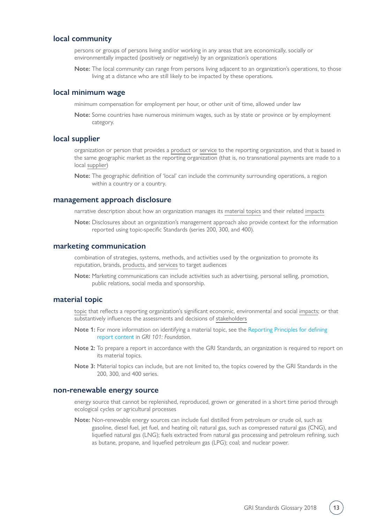#### <span id="page-12-1"></span>**local community**

persons or groups of persons living and/or working in any areas that are economically, socially or environmentally impacted (positively or negatively) by an organization's operations

**Note:** The local community can range from persons living adjacent to an organization's operations, to those living at a distance who are still likely to be impacted by these operations.

#### **local minimum wage**

minimum compensation for employment per hour, or other unit of time, allowed under law

**Note:** Some countries have numerous minimum wages, such as by state or province or by employment category.

#### **local supplier**

organization or person that provides a [product](#page-14-1) or [service](#page-17-0) to the reporting organization, and that is based in the same geographic market as the reporting organization (that is, no transnational payments are made to a local [supplier](#page-18-0))

**Note:** The geographic definition of 'local' can include the community surrounding operations, a region within a country or a country.

#### **management approach disclosure**

narrative description about how an organization manages its [material topics](#page-12-0) and their related [impacts](#page-11-0)

**Note:** Disclosures about an organization's management approach also provide context for the information reported using topic-specific Standards (series 200, 300, and 400).

#### **marketing communication**

combination of strategies, systems, methods, and activities used by the organization to promote its reputation, brands, [products](#page-14-1), and [services](#page-17-0) to target audiences

**Note:** Marketing communications can include activities such as advertising, personal selling, promotion, public relations, social media and sponsorship.

#### <span id="page-12-0"></span>**material topic**

[topic](#page-19-1) that reflects a reporting organization's significant economic, environmental and social [impacts](#page-11-0); or that substantively influences the assessments and decisions of [stakeholders](#page-18-1)

- **Note 1:** For more information on identifying a material topic, see the [Reporting Principles for defining](https://www.globalreporting.org/standards/media/1036/gri-101-foundation-2016.pdf#page=8)  [report content](https://www.globalreporting.org/standards/media/1036/gri-101-foundation-2016.pdf#page=8) in *GRI 101: Foundation*.
- **Note 2:** To prepare a report in accordance with the GRI Standards, an organization is required to report on its material topics.
- **Note 3:** Material topics can include, but are not limited to, the topics covered by the GRI Standards in the 200, 300, and 400 series.

#### **non-renewable energy source**

energy source that cannot be replenished, reproduced, grown or generated in a short time period through ecological cycles or agricultural processes

**Note:** Non-renewable energy sources can include fuel distilled from petroleum or crude oil, such as gasoline, diesel fuel, jet fuel, and heating oil; natural gas, such as compressed natural gas (CNG), and liquefied natural gas (LNG); fuels extracted from natural gas processing and petroleum refining, such as butane, propane, and liquefied petroleum gas (LPG); coal; and nuclear power.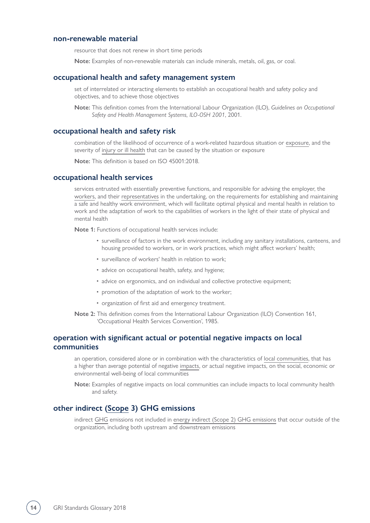#### **non-renewable material**

resource that does not renew in short time periods

**Note:** Examples of non-renewable materials can include minerals, metals, oil, gas, or coal.

#### **occupational health and safety management system**

set of interrelated or interacting elements to establish an occupational health and safety policy and objectives, and to achieve those objectives

**Note:** This definition comes from the International Labour Organization (ILO), *Guidelines on Occupational Safety and Health Management Systems, ILO-OSH 2001*, 2001.

#### <span id="page-13-0"></span>**occupational health and safety risk**

combination of the likelihood of occurrence of a work-related hazardous situation or [exposure,](#page-8-0) and the severity of [injury or ill health](#page-23-1) that can be caused by the situation or exposure

**Note:** This definition is based on ISO 45001:2018.

#### **occupational health services**

services entrusted with essentially preventive functions, and responsible for advising the employer, the [workers](#page-21-0), and their [representatives](#page-22-1) in the undertaking, on the requirements for establishing and maintaining a safe and healthy work environment, which will facilitate optimal physical and mental health in relation to work and the adaptation of work to the capabilities of workers in the light of their state of physical and mental health

**Note 1:** Functions of occupational health services include:

- surveillance of factors in the work environment, including any sanitary installations, canteens, and housing provided to workers, or in work practices, which might affect workers' health;
- surveillance of workers' health in relation to work;
- advice on occupational health, safety, and hygiene;
- advice on ergonomics, and on individual and collective protective equipment;
- promotion of the adaptation of work to the worker;
- organization of first aid and emergency treatment.
- **Note 2:** This definition comes from the International Labour Organization (ILO) Convention 161, 'Occupational Health Services Convention', 1985.

#### **operation with significant actual or potential negative impacts on local communities**

an operation, considered alone or in combination with the characteristics of [local communities](#page-12-1), that has a higher than average potential of negative [impacts,](#page-11-0) or actual negative impacts, on the social, economic or environmental well-being of local communities

**Note:** Examples of negative impacts on local communities can include impacts to local community health and safety.

#### <span id="page-13-1"></span>**other indirect [\(Scope](#page-16-2) 3) GHG emissions**

indirect [GHG](#page-9-0) emissions not included in [energy indirect \(Scope 2\) GHG emissions](#page-8-1) that occur outside of the organization, including both upstream and downstream emissions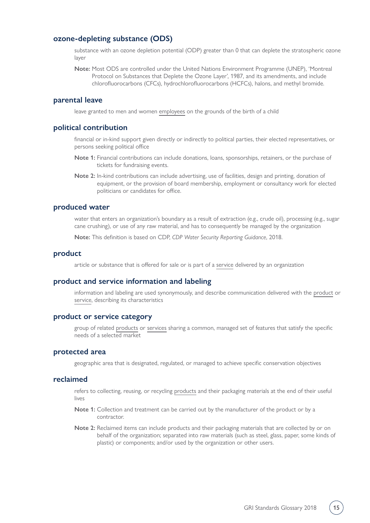#### **ozone-depleting substance (ODS)**

substance with an ozone depletion potential (ODP) greater than 0 that can deplete the stratospheric ozone layer

**Note:** Most ODS are controlled under the United Nations Environment Programme (UNEP), 'Montreal Protocol on Substances that Deplete the Ozone Layer', 1987, and its amendments, and include chlorofluorocarbons (CFCs), hydrochlorofluorocarbons (HCFCs), halons, and methyl bromide.

#### **parental leave**

leave granted to men and women [employees](#page-7-0) on the grounds of the birth of a child

#### <span id="page-14-0"></span>**political contribution**

financial or in-kind support given directly or indirectly to political parties, their elected representatives, or persons seeking political office

- **Note 1:** Financial contributions can include donations, loans, sponsorships, retainers, or the purchase of tickets for fundraising events.
- **Note 2:** In-kind contributions can include advertising, use of facilities, design and printing, donation of equipment, or the provision of board membership, employment or consultancy work for elected politicians or candidates for office.

#### **produced water**

water that enters an organization's boundary as a result of extraction (e.g., crude oil), processing (e.g., sugar cane crushing), or use of any raw material, and has to consequently be managed by the organization

**Note:** This definition is based on CDP, *CDP Water Security Reporting Guidance*, 2018.

#### <span id="page-14-1"></span>**product**

article or substance that is offered for sale or is part of a [service](#page-17-0) delivered by an organization

#### **product and service information and labeling**

information and labeling are used synonymously, and describe communication delivered with the [product](#page-14-1) or [service](#page-17-0), describing its characteristics

#### **product or service category**

group of related [products](#page-14-1) or [services](#page-17-0) sharing a common, managed set of features that satisfy the specific needs of a selected market

#### **protected area**

geographic area that is designated, regulated, or managed to achieve specific conservation objectives

#### **reclaimed**

refers to collecting, reusing, or recycling [products](#page-14-1) and their packaging materials at the end of their useful lives

- **Note 1:** Collection and treatment can be carried out by the manufacturer of the product or by a contractor.
- **Note 2:** Reclaimed items can include products and their packaging materials that are collected by or on behalf of the organization; separated into raw materials (such as steel, glass, paper, some kinds of plastic) or components; and/or used by the organization or other users.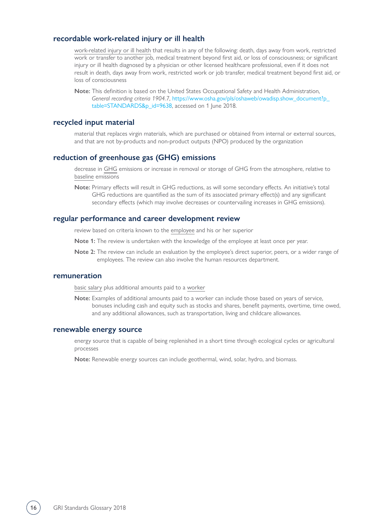#### **recordable work-related injury or ill health**

[work-related injury or ill health](#page-23-1) that results in any of the following: death, days away from work, restricted work or transfer to another job, medical treatment beyond first aid, or loss of consciousness; or significant injury or ill health diagnosed by a physician or other licensed healthcare professional, even if it does not result in death, days away from work, restricted work or job transfer, medical treatment beyond first aid, or loss of consciousness

**Note:** This definition is based on the United States Occupational Safety and Health Administration, *General recording criteria 1904.7*, [https://www.osha.gov/pls/oshaweb/owadisp.show\\_document?p\\_](https://www.osha.gov/pls/oshaweb/owadisp.show_document?p_table=STANDARDS&p_id=9638)  [table=STANDARDS&p\\_id=9638,](https://www.osha.gov/pls/oshaweb/owadisp.show_document?p_table=STANDARDS&p_id=9638) accessed on 1 June 2018.

#### **recycled input material**

material that replaces virgin materials, which are purchased or obtained from internal or external sources, and that are not by-products and non-product outputs (NPO) produced by the organization

#### **reduction of greenhouse gas (GHG) emissions**

decrease in [GHG](#page-9-0) emissions or increase in removal or storage of GHG from the atmosphere, relative to [baseline](#page-4-1) emissions

**Note:** Primary effects will result in GHG reductions, as will some secondary effects. An initiative's total GHG reductions are quantified as the sum of its associated primary effect(s) and any significant secondary effects (which may involve decreases or countervailing increases in GHG emissions).

#### **regular performance and career development review**

review based on criteria known to the [employee](#page-7-0) and his or her superior

- **Note 1:** The review is undertaken with the knowledge of the employee at least once per year.
- **Note 2:** The review can include an evaluation by the employee's direct superior, peers, or a wider range of employees. The review can also involve the human resources department.

#### <span id="page-15-0"></span>**remuneration**

[basic salary](#page-4-2) plus additional amounts paid to a [worker](#page-21-0)

**Note:** Examples of additional amounts paid to a worker can include those based on years of service, bonuses including cash and equity such as stocks and shares, benefit payments, overtime, time owed, and any additional allowances, such as transportation, living and childcare allowances.

#### **renewable energy source**

energy source that is capable of being replenished in a short time through ecological cycles or agricultural processes

**Note:** Renewable energy sources can include geothermal, wind, solar, hydro, and biomass.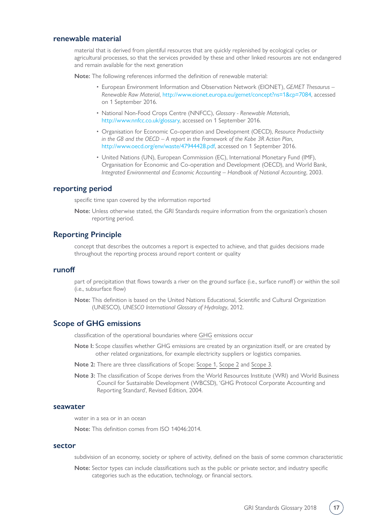#### **renewable material**

material that is derived from plentiful resources that are quickly replenished by ecological cycles or agricultural processes, so that the services provided by these and other linked resources are not endangered and remain available for the next generation

**Note:** The following references informed the definition of renewable material:

- European Environment Information and Observation Network (EIONET), *GEMET Thesaurus Renewable Raw Material*, [http://www.eionet.europa.eu/gemet/concept?ns=1&cp=7084,](http://www.eionet.europa.eu/gemet/concept?ns=1&cp=7084) accessed on 1 September 2016.
- National Non-Food Crops Centre (NNFCC), *Glossary Renewable Materials*, <http://www.nnfcc.co.uk/glossary>, accessed on 1 September 2016.
- Organisation for Economic Co-operation and Development (OECD), *Resource Productivity in the G8 and the OECD – A report in the Framework of the Kobe 3R Action Plan*, [http://www.oecd.org/env/waste/47944428.pdf,](http://www.oecd.org/env/waste/47944428.pdf) accessed on 1 September 2016.
- United Nations (UN), European Commission (EC), International Monetary Fund (IMF), Organisation for Economic and Co-operation and Development (OECD), and World Bank, *Integrated Environmental and Economic Accounting – Handbook of National Accounting*, 2003.

#### <span id="page-16-1"></span>**reporting period**

specific time span covered by the information reported

**Note:** Unless otherwise stated, the GRI Standards require information from the organization's chosen reporting period.

#### **Reporting Principle**

concept that describes the outcomes a report is expected to achieve, and that guides decisions made throughout the reporting process around report content or quality

#### **runoff**

part of precipitation that flows towards a river on the ground surface (i.e., surface runoff) or within the soil (i.e., subsurface flow)

**Note:** This definition is based on the United Nations Educational, Scientific and Cultural Organization (UNESCO), *UNESCO International Glossary of Hydrology*, 2012.

#### <span id="page-16-2"></span>**Scope of GHG emissions**

classification of the operational boundaries where [GHG](#page-9-0) emissions occur

- **Note I:** Scope classifies whether GHG emissions are created by an organization itself, or are created by other related organizations, for example electricity suppliers or logistics companies.
- **Note 2:** There are three classifications of Scope: [Scope 1](#page-7-1), [Scope 2](#page-8-1) and [Scope 3](#page-13-1).
- **Note 3:** The classification of Scope derives from the World Resources Institute (WRI) and World Business Council for Sustainable Development (WBCSD), 'GHG Protocol Corporate Accounting and Reporting Standard', Revised Edition, 2004.

#### <span id="page-16-3"></span>**seawater**

water in a sea or in an ocean

**Note:** This definition comes from ISO 14046:2014.

#### <span id="page-16-0"></span>**sector**

subdivision of an economy, society or sphere of activity, defined on the basis of some common characteristic

**Note:** Sector types can include classifications such as the public or private sector, and industry specific categories such as the education, technology, or financial sectors.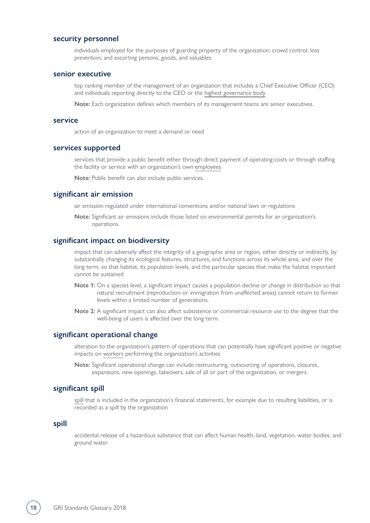#### **security personnel**

individuals employed for the purposes of guarding property of the organization; crowd control; loss prevention; and escorting persons, goods, and valuables

#### **senior executive**

top ranking member of the management of an organization that includes a Chief Executive Officer (CEO) and individuals reporting directly to the CEO or the [highest governance body](#page-10-2)

**Note:** Each organization defines which members of its management teams are senior executives.

#### <span id="page-17-0"></span>**service**

action of an organization to meet a demand or need

#### **services supported**

services that provide a public benefit either through direct payment of operating costs or through staffing the facility or service with an organization's own [employees](#page-7-0)

**Note:** Public benefit can also include public services.

#### **significant air emission**

air emission regulated under international conventions and/or national laws or regulations

**Note:** Significant air emissions include those listed on environmental permits for an organization's operations.

#### **significant impact on biodiversity**

impact that can adversely affect the integrity of a geographic area or region, either directly or indirectly, by substantially changing its ecological features, structures, and functions across its whole area, and over the long term, so that habitat, its population levels, and the particular species that make the habitat important cannot be sustained

- **Note 1:** On a species level, a significant impact causes a population decline or change in distribution so that natural recruitment (reproduction or immigration from unaffected areas) cannot return to former levels within a limited number of generations.
- **Note 2:** A significant impact can also affect subsistence or commercial resource use to the degree that the well-being of users is affected over the long term.

#### **significant operational change**

alteration to the organization's pattern of operations that can potentially have significant positive or negative impacts on [workers](#page-21-0) performing the organization's activities

**Note:** Significant operational change can include restructuring, outsourcing of operations, closures, expansions, new openings, takeovers, sale of all or part of the organization, or mergers.

#### **significant spill**

[spill](#page-17-1) that is included in the organization's financial statements, for example due to resulting liabilities, or is recorded as a spill by the organization

#### <span id="page-17-1"></span>**spill**

accidental release of a hazardous substance that can affect human health, land, vegetation, water bodies, and ground water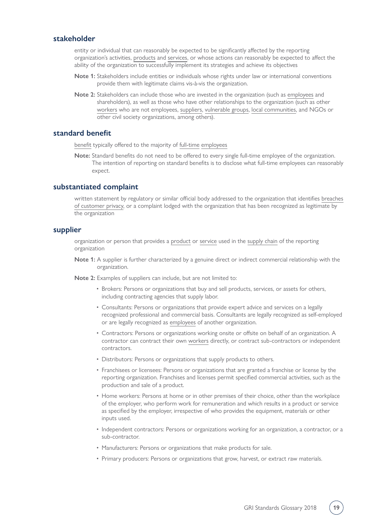#### <span id="page-18-1"></span>**stakeholder**

entity or individual that can reasonably be expected to be significantly affected by the reporting organization's activities, [products](#page-14-1) and [services](#page-17-0), or whose actions can reasonably be expected to affect the ability of the organization to successfully implement its strategies and achieve its objectives

- **Note 1:** Stakeholders include entities or individuals whose rights under law or international conventions provide them with legitimate claims vis-à-vis the organization.
- **Note 2:** Stakeholders can include those who are invested in the organization (such as [employees](#page-7-0) and shareholders), as well as those who have other relationships to the organization (such as other [workers](#page-21-0) who are not employees, [suppliers](#page-18-0), [vulnerable groups](#page-20-1), [local communities](#page-12-1), and NGOs or other civil society organizations, among others).

#### **standard benefit**

[benefit](#page-4-3) typically offered to the majority of [full-time](#page-8-2) [employees](#page-7-0)

**Note:** Standard benefits do not need to be offered to every single full-time employee of the organization. The intention of reporting on standard benefits is to disclose what full-time employees can reasonably expect.

#### **substantiated complaint**

written statement by regulatory or similar official body addressed to the organization that identifies [breaches](#page-4-4)  [of customer privacy](#page-4-4), or a complaint lodged with the organization that has been recognized as legitimate by the organization

#### <span id="page-18-0"></span>**supplier**

organization or person that provides a [product](#page-14-1) or [service](#page-17-0) used in the [supply chain](#page-19-2) of the reporting organization

**Note 1:** A supplier is further characterized by a genuine direct or indirect commercial relationship with the organization.

**Note 2:** Examples of suppliers can include, but are not limited to:

- Brokers: Persons or organizations that buy and sell products, services, or assets for others, including contracting agencies that supply labor.
- Consultants: Persons or organizations that provide expert advice and services on a legally recognized professional and commercial basis. Consultants are legally recognized as self-employed or are legally recognized as [employees](#page-7-0) of another organization.
- Contractors: Persons or organizations working onsite or offsite on behalf of an organization. A contractor can contract their own [workers](#page-21-0) directly, or contract sub-contractors or independent contractors.
- Distributors: Persons or organizations that supply products to others.
- Franchisees or licensees: Persons or organizations that are granted a franchise or license by the reporting organization. Franchises and licenses permit specified commercial activities, such as the production and sale of a product.
- Home workers: Persons at home or in other premises of their choice, other than the workplace of the employer, who perform work for remuneration and which results in a product or service as specified by the employer, irrespective of who provides the equipment, materials or other inputs used.
- Independent contractors: Persons or organizations working for an organization, a contractor, or a sub-contractor.
- Manufacturers: Persons or organizations that make products for sale.
- Primary producers: Persons or organizations that grow, harvest, or extract raw materials.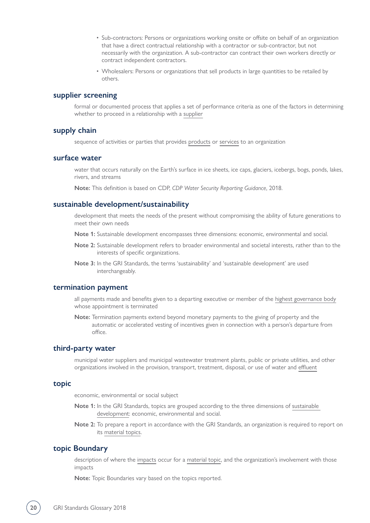- Sub-contractors: Persons or organizations working onsite or offsite on behalf of an organization that have a direct contractual relationship with a contractor or sub-contractor, but not necessarily with the organization. A sub-contractor can contract their own workers directly or contract independent contractors.
- Wholesalers: Persons or organizations that sell products in large quantities to be retailed by others.

#### **supplier screening**

formal or documented process that applies a set of performance criteria as one of the factors in determining whether to proceed in a relationship with a [supplier](#page-18-0)

#### <span id="page-19-2"></span>**supply chain**

sequence of activities or parties that provides [products](#page-14-1) or [services](#page-17-0) to an organization

#### <span id="page-19-3"></span>**surface water**

water that occurs naturally on the Earth's surface in ice sheets, ice caps, glaciers, icebergs, bogs, ponds, lakes, rivers, and streams

**Note:** This definition is based on CDP, *CDP Water Security Reporting Guidance*, 2018.

#### <span id="page-19-0"></span>**sustainable development/sustainability**

development that meets the needs of the present without compromising the ability of future generations to meet their own needs

- **Note 1:** Sustainable development encompasses three dimensions: economic, environmental and social.
- **Note 2:** Sustainable development refers to broader environmental and societal interests, rather than to the interests of specific organizations.
- **Note 3:** In the GRI Standards, the terms 'sustainability' and 'sustainable development' are used interchangeably.

#### **termination payment**

all payments made and benefits given to a departing executive or member of the [highest governance body](#page-10-2) whose appointment is terminated

**Note:** Termination payments extend beyond monetary payments to the giving of property and the automatic or accelerated vesting of incentives given in connection with a person's departure from office.

#### <span id="page-19-4"></span>**third-party water**

municipal water suppliers and municipal wastewater treatment plants, public or private utilities, and other organizations involved in the provision, transport, treatment, disposal, or use of water and [effluent](#page-7-2)

#### <span id="page-19-1"></span>**topic**

economic, environmental or social subject

- **Note 1:** In the GRI Standards, topics are grouped according to the three dimensions of sustainable [development:](#page-19-0) economic, environmental and social.
- **Note 2:** To prepare a report in accordance with the GRI Standards, an organization is required to report on its [material topics](#page-12-0).

#### **topic Boundary**

description of where the [impacts](#page-11-0) occur for a [material topic,](#page-12-0) and the organization's involvement with those impacts

**Note:** Topic Boundaries vary based on the topics reported.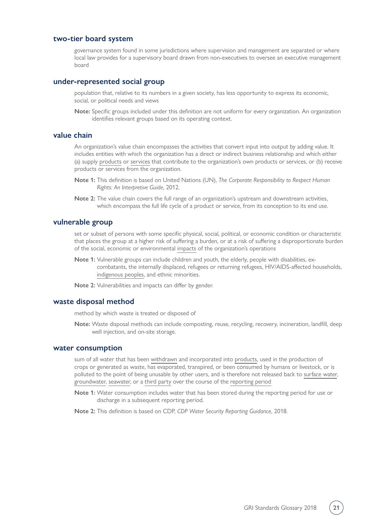#### <span id="page-20-0"></span>**two-tier board system**

governance system found in some jurisdictions where supervision and management are separated or where local law provides for a supervisory board drawn from non-executives to oversee an executive management board

#### **under-represented social group**

population that, relative to its numbers in a given society, has less opportunity to express its economic, social, or political needs and views

**Note:** Specific groups included under this definition are not uniform for every organization. An organization identifies relevant groups based on its operating context.

#### **value chain**

An organization's value chain encompasses the activities that convert input into output by adding value. It includes entities with which the organization has a direct or indirect business relationship and which either (a) supply [products](#page-14-1) or [services](#page-17-0) that contribute to the organization's own products or services, or (b) receive products or services from the organization.

- **Note 1:** This definition is based on United Nations (UN), *The Corporate Responsibility to Respect Human Rights: An Interpretive Guide*, 2012.
- **Note 2:** The value chain covers the full range of an organization's upstream and downstream activities, which encompass the full life cycle of a product or service, from its conception to its end use.

#### <span id="page-20-1"></span>**vulnerable group**

set or subset of persons with some specific physical, social, political, or economic condition or characteristic that places the group at a higher risk of suffering a burden, or at a risk of suffering a disproportionate burden of the social, economic or environmental [impacts](#page-11-0) of the organization's operations

**Note 1:** Vulnerable groups can include children and youth, the elderly, people with disabilities, excombatants, the internally displaced, refugees or returning refugees, HIV/AIDS-affected households, [indigenous peoples,](#page-11-1) and ethnic minorities.

**Note 2:** Vulnerabilities and impacts can differ by gender.

#### **waste disposal method**

method by which waste is treated or disposed of

**Note:** Waste disposal methods can include composting, reuse, recycling, recovery, incineration, landfill, deep well injection, and on-site storage.

#### **water consumption**

sum of all water that has been [withdrawn](#page-21-1) and incorporated into [products,](#page-14-1) used in the production of crops or generated as waste, has evaporated, transpired, or been consumed by humans or livestock, or is polluted to the point of being unusable by other users, and is therefore not released back to [surface water](#page-19-3), [groundwater](#page-10-0), [seawater](#page-16-3), or a [third party](#page-19-4) over the course of the [reporting period](#page-16-1)

**Note 1:** Water consumption includes water that has been stored during the reporting period for use or discharge in a subsequent reporting period.

**Note 2:** This definition is based on CDP, *CDP Water Security Reporting Guidance*, 2018.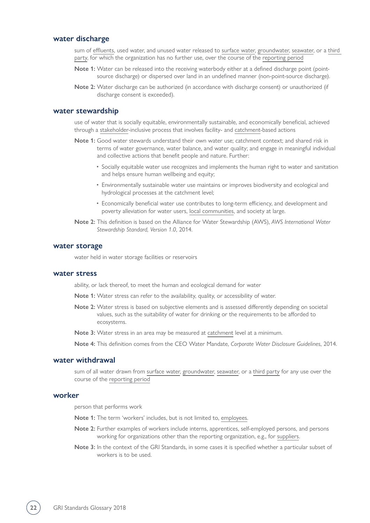#### **water discharge**

sum of [effluents](#page-7-2), used water, and unused water released to [surface water](#page-19-3), [groundwater](#page-10-0), [seawater](#page-16-3), or a [third](#page-19-4)  [party](#page-19-4), for which the organization has no further use, over the course of the [reporting period](#page-16-1)

- **Note 1:** Water can be released into the receiving waterbody either at a defined discharge point (pointsource discharge) or dispersed over land in an undefined manner (non-point-source discharge).
- **Note 2:** Water discharge can be authorized (in accordance with discharge consent) or unauthorized (if discharge consent is exceeded).

#### **water stewardship**

use of water that is socially equitable, environmentally sustainable, and economically beneficial, achieved through a [stakeholder-](#page-18-1)inclusive process that involves facility- and [catchment-](#page-4-5)based actions

- **Note 1:** Good water stewards understand their own water use; catchment context; and shared risk in terms of water governance, water balance, and water quality; and engage in meaningful individual and collective actions that benefit people and nature. Further:
	- Socially equitable water use recognizes and implements the human right to water and sanitation and helps ensure human wellbeing and equity;
	- Environmentally sustainable water use maintains or improves biodiversity and ecological and hydrological processes at the catchment level;
	- Economically beneficial water use contributes to long-term efficiency, and development and poverty alleviation for water users, [local communities](#page-12-1), and society at large.
- **Note 2:** This definition is based on the Alliance for Water Stewardship (AWS), *AWS International Water Stewardship Standard, Version 1.0*, 2014.

#### **water storage**

water held in water storage facilities or reservoirs

#### **water stress**

ability, or lack thereof, to meet the human and ecological demand for water

- **Note 1:** Water stress can refer to the availability, quality, or accessibility of water.
- **Note 2:** Water stress is based on subjective elements and is assessed differently depending on societal values, such as the suitability of water for drinking or the requirements to be afforded to ecosystems.
- **Note 3:** Water stress in an area may be measured at [catchment](#page-4-5) level at a minimum.

**Note 4:** This definition comes from the CEO Water Mandate, *Corporate Water Disclosure Guidelines*, 2014.

#### <span id="page-21-1"></span>**water withdrawal**

sum of all water drawn from [surface water,](#page-19-3) [groundwater,](#page-10-0) [seawater,](#page-16-3) or a [third party](#page-19-4) for any use over the course of the [reporting period](#page-16-1)

#### <span id="page-21-0"></span>**worker**

person that performs work

- **Note 1:** The term 'workers' includes, but is not limited to, [employees.](#page-7-0)
- **Note 2:** Further examples of workers include interns, apprentices, self-employed persons, and persons working for organizations other than the reporting organization, e.g., for [suppliers](#page-18-0).
- **Note 3:** In the context of the GRI Standards, in some cases it is specified whether a particular subset of workers is to be used.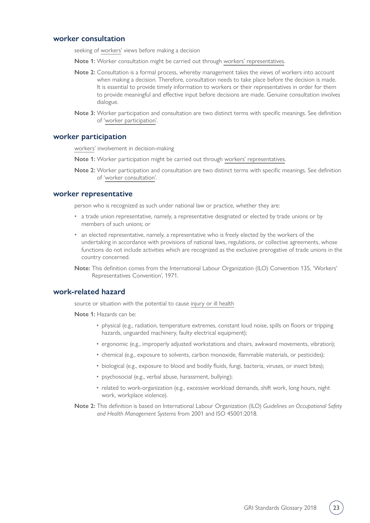#### <span id="page-22-3"></span>**worker consultation**

seeking of [workers](#page-21-0)' views before making a decision

- **Note 1:** Worker consultation might be carried out through [workers' representatives](#page-22-1).
- **Note 2:** Consultation is a formal process, whereby management takes the views of workers into account when making a decision. Therefore, consultation needs to take place before the decision is made. It is essential to provide timely information to workers or their representatives in order for them to provide meaningful and effective input before decisions are made. Genuine consultation involves dialogue.
- **Note 3:** Worker participation and consultation are two distinct terms with specific meanings. See definition of '[worker participation](#page-22-2)'.

#### <span id="page-22-2"></span>**worker participation**

[workers](#page-21-0)' involvement in decision-making

- **Note 1:** Worker participation might be carried out through [workers' representatives.](#page-22-1)
- **Note 2:** Worker participation and consultation are two distinct terms with specific meanings. See definition of '[worker consultation'](#page-22-3).

#### <span id="page-22-1"></span>**worker representative**

person who is recognized as such under national law or practice, whether they are:

- a trade union representative, namely, a representative designated or elected by trade unions or by members of such unions; or
- an elected representative, namely, a representative who is freely elected by the workers of the undertaking in accordance with provisions of national laws, regulations, or collective agreements, whose functions do not include activities which are recognized as the exclusive prerogative of trade unions in the country concerned.
- **Note:** This definition comes from the International Labour Organization (ILO) Convention 135, 'Workers' Representatives Convention', 1971.

#### <span id="page-22-0"></span>**work-related hazard**

source or situation with the potential to cause [injury or ill health](#page-23-1)

- **Note 1:** Hazards can be:
	- physical (e.g., radiation, temperature extremes, constant loud noise, spills on floors or tripping hazards, unguarded machinery, faulty electrical equipment);
	- ergonomic (e.g., improperly adjusted workstations and chairs, awkward movements, vibration);
	- chemical (e.g., exposure to solvents, carbon monoxide, flammable materials, or pesticides);
	- biological (e.g., exposure to blood and bodily fluids, fungi, bacteria, viruses, or insect bites);
	- psychosocial (e.g., verbal abuse, harassment, bullying);
	- related to work-organization (e.g., excessive workload demands, shift work, long hours, night work, workplace violence).
- **Note 2:** This definition is based on International Labour Organization (ILO) *Guidelines on Occupational Safety and Health Management Systems* from 2001 and ISO 45001:2018.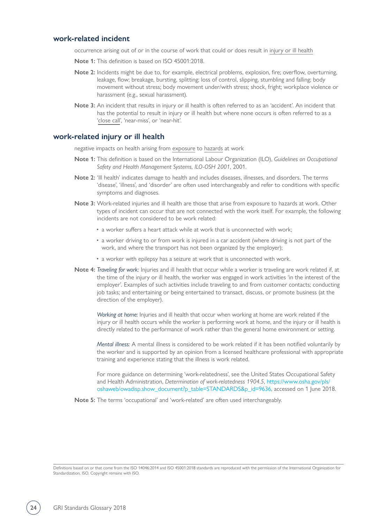#### <span id="page-23-0"></span>**work-related incident**

occurrence arising out of or in the course of work that could or does result in [injury or ill health](#page-23-1)

- **Note 1:** This definition is based on ISO 45001:2018.
- **Note 2:** Incidents might be due to, for example, electrical problems, explosion, fire; overflow, overturning, leakage, flow; breakage, bursting, splitting; loss of control, slipping, stumbling and falling; body movement without stress; body movement under/with stress; shock, fright; workplace violence or harassment (e.g., sexual harassment).
- **Note 3:** An incident that results in injury or ill health is often referred to as an 'accident'. An incident that has the potential to result in injury or ill health but where none occurs is often referred to as a ['close call](#page-5-1)', 'near-miss', or 'near-hit'.

#### <span id="page-23-1"></span>**work-related injury or ill health**

negative impacts on health arising from [exposure](#page-8-0) to [hazards](#page-22-0) at work

- **Note 1:** This definition is based on the International Labour Organization (ILO), *Guidelines on Occupational Safety and Health Management Systems, ILO-OSH 2001*, 2001.
- **Note 2:** 'Ill health' indicates damage to health and includes diseases, illnesses, and disorders. The terms 'disease', 'illness', and 'disorder' are often used interchangeably and refer to conditions with specific symptoms and diagnoses.
- **Note 3:** Work-related injuries and ill health are those that arise from exposure to hazards at work. Other types of incident can occur that are not connected with the work itself. For example, the following incidents are not considered to be work related:
	- a worker suffers a heart attack while at work that is unconnected with work;
	- a worker driving to or from work is injured in a car accident (where driving is not part of the work, and where the transport has not been organized by the employer);
	- a worker with epilepsy has a seizure at work that is unconnected with work.
- **Note 4:** *Traveling for work:* Injuries and ill health that occur while a worker is traveling are work related if, at the time of the injury or ill health, the worker was engaged in work activities 'in the interest of the employer'. Examples of such activities include traveling to and from customer contacts; conducting job tasks; and entertaining or being entertained to transact, discuss, or promote business (at the direction of the employer).

*Working at home:* Injuries and ill health that occur when working at home are work related if the injury or ill health occurs while the worker is performing work at home, and the injury or ill health is directly related to the performance of work rather than the general home environment or setting.

*Mental illness:* A mental illness is considered to be work related if it has been notified voluntarily by the worker and is supported by an opinion from a licensed healthcare professional with appropriate training and experience stating that the illness is work related.

For more guidance on determining 'work-relatedness', see the United States Occupational Safety and Health Administration, *Determination of work-relatedness 1904.5*, [https://www.osha.gov/pls/](https://www.osha.gov/pls/oshaweb/owadisp.show_document?p_table=STANDARDS&p_id=9636)  [oshaweb/owadisp.show\\_document?p\\_table=STANDARDS&p\\_id=9636](https://www.osha.gov/pls/oshaweb/owadisp.show_document?p_table=STANDARDS&p_id=9636), accessed on 1 June 2018.

**Note 5:** The terms 'occupational' and 'work-related' are often used interchangeably.

Definitions based on or that come from the ISO 14046:2014 and ISO 45001:2018 standards are reproduced with the permission of the International Organization for Standardization, ISO. Copyright remains with ISO.